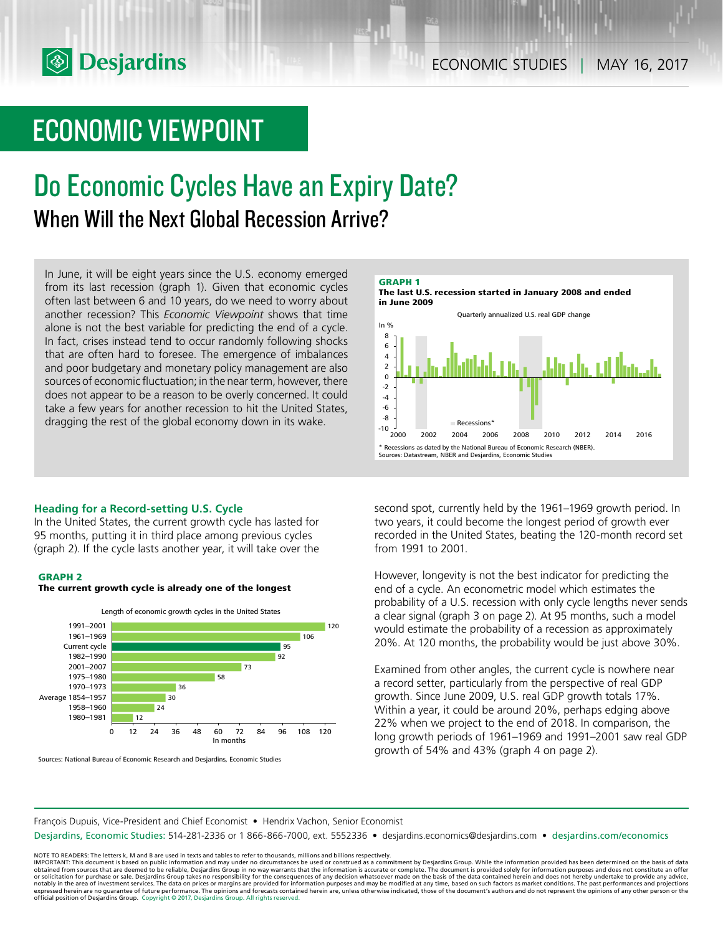# ECONOMIC VIEWPOINT

# Do Economic Cycles Have an Expiry Date? When Will the Next Global Recession Arrive?

In June, it will be eight years since the U.S. economy emerged from its last recession (graph 1). Given that economic cycles often last between 6 and 10 years, do we need to worry about another recession? This *Economic Viewpoint* shows that time alone is not the best variable for predicting the end of a cycle. In fact, crises instead tend to occur randomly following shocks that are often hard to foresee. The emergence of imbalances and poor budgetary and monetary policy management are also sources of economic fluctuation; in the near term, however, there does not appear to be a reason to be overly concerned. It could take a few years for another recession to hit the United States, dragging the rest of the global economy down in its wake.  $\begin{array}{c} .8 \ .10 \ .000 \end{array}$ 

# **Heading for a Record-setting U.S. Cycle**

In the United States, the current growth cycle has lasted for 95 months, putting it in third place among previous cycles (graph 2). If the cycle lasts another year, it will take over the

## **GRAPH 2**





Sources: National Bureau of Economic Research and Desjardins, Economic Studies



second spot, currently held by the 1961–1969 growth period. In two years, it could become the longest period of growth ever recorded in the United States, beating the 120-month record set from 1991 to 2001.

2000 2002 2004 2006 2008 2010 2012 2014 2016

Recessions

Sources: Datastream, NBER and Desjardins, Economic Studies

Recessions as dated by the National Bureau of Economic Research (NBER).

However, longevity is not the best indicator for predicting the end of a cycle. An econometric model which estimates the probability of a U.S. recession with only cycle lengths never sends a clear signal (graph 3 on page 2). At 95 months, such a model would estimate the probability of a recession as approximately 20%. At 120 months, the probability would be just above 30%.

Examined from other angles, the current cycle is nowhere near a record setter, particularly from the perspective of real GDP growth. Since June 2009, U.S. real GDP growth totals 17%. Within a year, it could be around 20%, perhaps edging above 22% when we project to the end of 2018. In comparison, the long growth periods of 1961–1969 and 1991–2001 saw real GDP growth of 54% and 43% (graph 4 on page 2).

François Dupuis, Vice-President and Chief Economist • Hendrix Vachon, Senior Economist

Desjardins, Economic Studies: 514-281-2336 or 1 866-866-7000, ext. 5552336 • desjardins.economics@desjardins.com • [desjardins.com/economics](http://desjardins.com/economics)

NOTE TO READERS: The letters k, M and B are used in texts and tables to refer to thousands, millions and billions respectively.<br>IMPORTANT: This document is based on public information and may under no circumstances be used obtained from sources that are deemed to be reliable, Desjardins Group in no way warrants that the information is accurate or complete. The document is provided solely for information purposes and does not constitute an of expressed herein are no guarantee of future performance. The opinions and forecasts contained herein are, unless otherwise indicated, those of the document's authors and do not represent the opinions of any other person or official position of Desjardins Group. Copyright © 2017, Desjardins Group. All rights reserved.

-8 -6 -4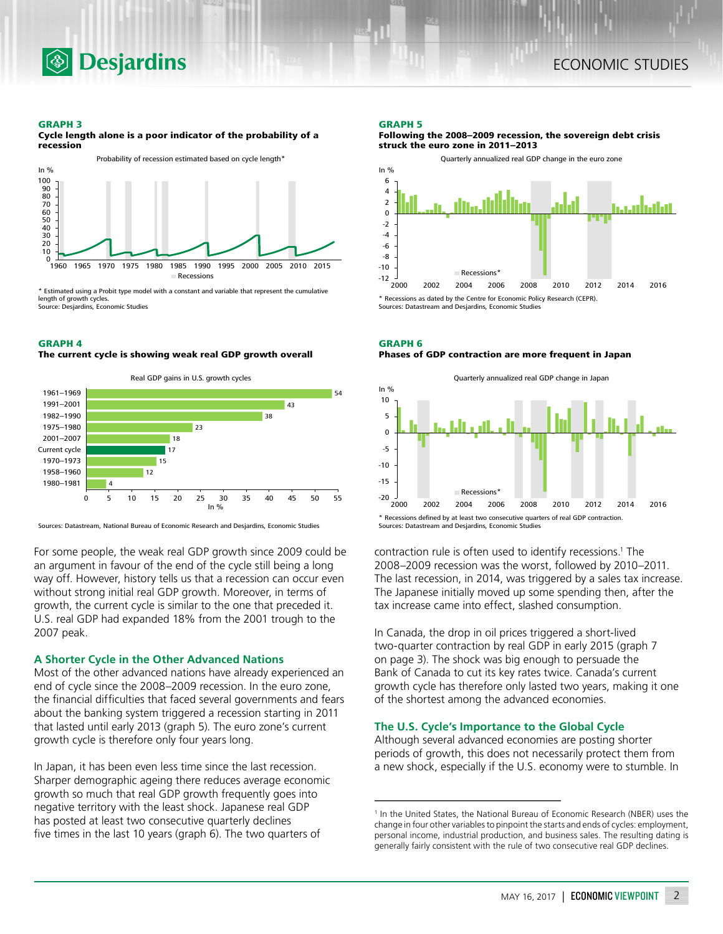

#### **GRAPH 3**

**Cycle length alone is a poor indicator of the probability of a recession**



\* Estimated using a Probit type model with a constant and variable that represent the cumulative ngth of growth cycles. Source: Desjardins, Economic Studies

### **GRAPH 4**

**The current cycle is showing weak real GDP growth overall**



Sources: Datastream, National Bureau of Economic Research and Desjardins, Economic Studies

For some people, the weak real GDP growth since 2009 could be an argument in favour of the end of the cycle still being a long way off. However, history tells us that a recession can occur even without strong initial real GDP growth. Moreover, in terms of growth, the current cycle is similar to the one that preceded it. U.S. real GDP had expanded 18% from the 2001 trough to the 2007 peak.

## **A Shorter Cycle in the Other Advanced Nations**

Most of the other advanced nations have already experienced an end of cycle since the 2008–2009 recession. In the euro zone, the financial difficulties that faced several governments and fears about the banking system triggered a recession starting in 2011 that lasted until early 2013 (graph 5). The euro zone's current growth cycle is therefore only four years long.

In Japan, it has been even less time since the last recession. Sharper demographic ageing there reduces average economic growth so much that real GDP growth frequently goes into negative territory with the least shock. Japanese real GDP has posted at least two consecutive quarterly declines five times in the last 10 years (graph 6). The two quarters of

## **GRAPH 5**

**Following the 2008–2009 recession, the sovereign debt crisis struck the euro zone in 2011–2013**



**GRAPH 6 Phases of GDP contraction are more frequent in Japan**



contraction rule is often used to identify recessions.<sup>1</sup> The 2008–2009 recession was the worst, followed by 2010–2011. The last recession, in 2014, was triggered by a sales tax increase. The Japanese initially moved up some spending then, after the tax increase came into effect, slashed consumption.

In Canada, the drop in oil prices triggered a short-lived two-quarter contraction by real GDP in early 2015 (graph 7 on page 3). The shock was big enough to persuade the Bank of Canada to cut its key rates twice. Canada's current growth cycle has therefore only lasted two years, making it one of the shortest among the advanced economies.

## **The U.S. Cycle's Importance to the Global Cycle**

Although several advanced economies are posting shorter periods of growth, this does not necessarily protect them from a new shock, especially if the U.S. economy were to stumble. In

<sup>&</sup>lt;sup>1</sup> In the United States, the National Bureau of Economic Research (NBER) uses the change in four other variables to pinpoint the starts and ends of cycles: employment, personal income, industrial production, and business sales. The resulting dating is generally fairly consistent with the rule of two consecutive real GDP declines.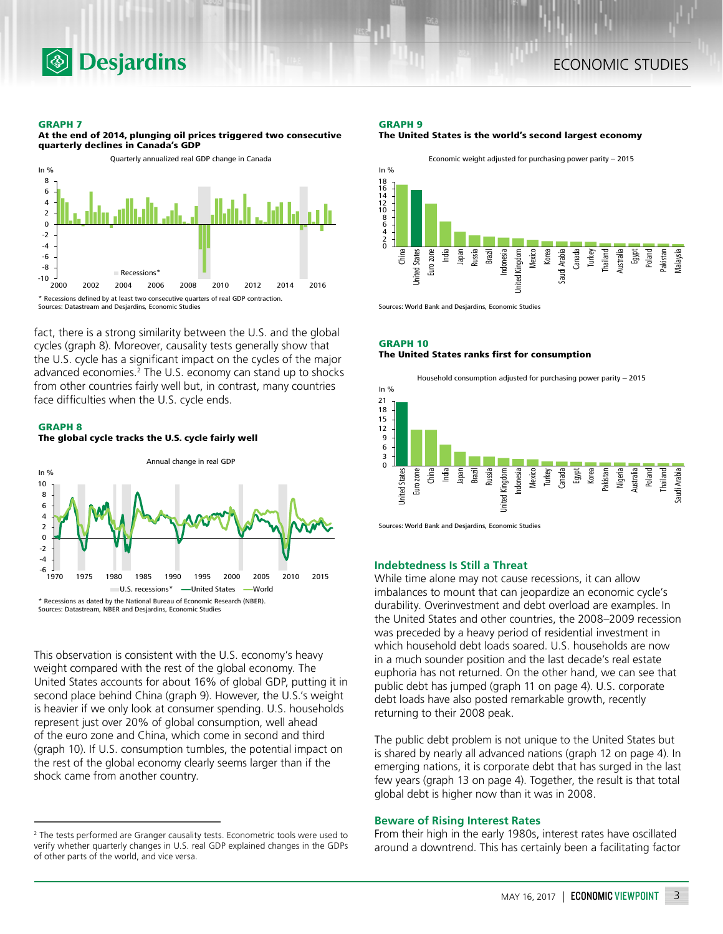

### **GRAPH 7**

**At the end of 2014, plunging oil prices triggered two consecutive quarterly declines in Canada's GDP**



fact, there is a strong similarity between the U.S. and the global cycles (graph 8). Moreover, causality tests generally show that the U.S. cycle has a significant impact on the cycles of the major advanced economies.<sup>2</sup> The U.S. economy can stand up to shocks from other countries fairly well but, in contrast, many countries face difficulties when the U.S. cycle ends.





This observation is consistent with the U.S. economy's heavy weight compared with the rest of the global economy. The United States accounts for about 16% of global GDP, putting it in second place behind China (graph 9). However, the U.S.'s weight is heavier if we only look at consumer spending. U.S. households represent just over 20% of global consumption, well ahead of the euro zone and China, which come in second and third (graph 10). If U.S. consumption tumbles, the potential impact on the rest of the global economy clearly seems larger than if the shock came from another country.

## **GRAPH 9 The United States is the world's second largest economy**



Sources: World Bank and Desjardins, Economic Studies

# **GRAPH 10 The United States ranks first for consumption**



Sources: World Bank and Desjardins, Economic Studies

# **Indebtedness Is Still a Threat**

While time alone may not cause recessions, it can allow imbalances to mount that can jeopardize an economic cycle's durability. Overinvestment and debt overload are examples. In the United States and other countries, the 2008–2009 recession was preceded by a heavy period of residential investment in which household debt loads soared. U.S. households are now in a much sounder position and the last decade's real estate euphoria has not returned. On the other hand, we can see that public debt has jumped (graph 11 on page 4). U.S. corporate debt loads have also posted remarkable growth, recently returning to their 2008 peak.

The public debt problem is not unique to the United States but is shared by nearly all advanced nations (graph 12 on page 4). In emerging nations, it is corporate debt that has surged in the last few years (graph 13 on page 4). Together, the result is that total global debt is higher now than it was in 2008.

## **Beware of Rising Interest Rates**

From their high in the early 1980s, interest rates have oscillated around a downtrend. This has certainly been a facilitating factor

<sup>&</sup>lt;sup>2</sup> The tests performed are Granger causality tests. Econometric tools were used to verify whether quarterly changes in U.S. real GDP explained changes in the GDPs of other parts of the world, and vice versa.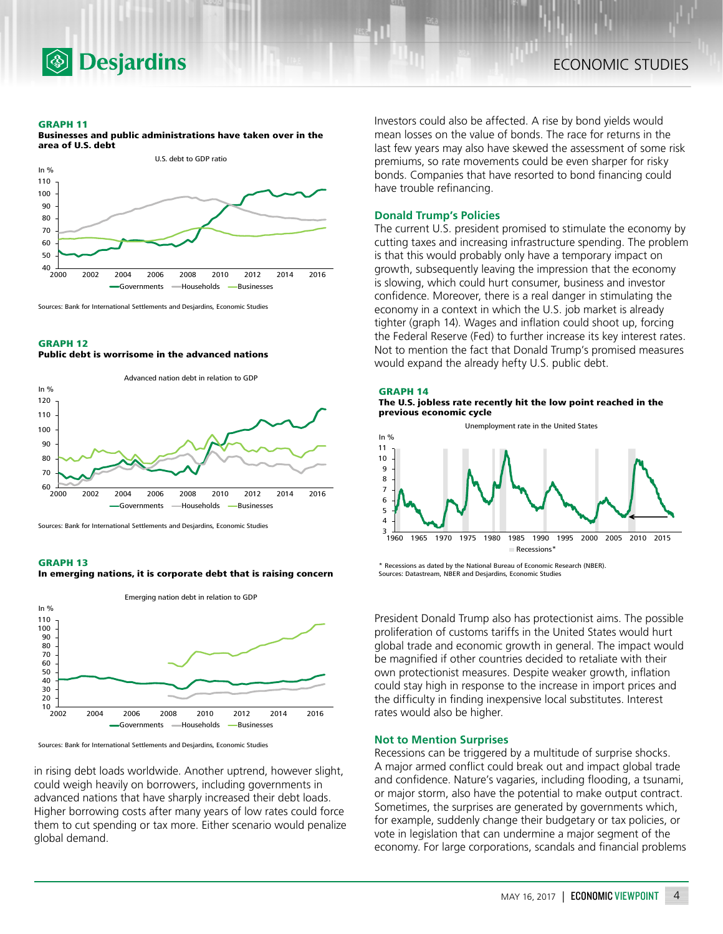

#### **GRAPH 11**



**Businesses and public administrations have taken over in the area of U.S. debt**



## **GRAPH 12 Public debt is worrisome in the advanced nations**



Sources: Bank for International Settlements and Desjardins, Economic Studies

#### **GRAPH 13**

**In emerging nations, it is corporate debt that is raising concern**



Sources: Bank for International Settlements and Desjardins, Economic Studies

in rising debt loads worldwide. Another uptrend, however slight, could weigh heavily on borrowers, including governments in advanced nations that have sharply increased their debt loads. Higher borrowing costs after many years of low rates could force them to cut spending or tax more. Either scenario would penalize global demand.

Investors could also be affected. A rise by bond yields would mean losses on the value of bonds. The race for returns in the last few years may also have skewed the assessment of some risk premiums, so rate movements could be even sharper for risky bonds. Companies that have resorted to bond financing could have trouble refinancing.

# **Donald Trump's Policies**

The current U.S. president promised to stimulate the economy by cutting taxes and increasing infrastructure spending. The problem is that this would probably only have a temporary impact on growth, subsequently leaving the impression that the economy is slowing, which could hurt consumer, business and investor confidence. Moreover, there is a real danger in stimulating the economy in a context in which the U.S. job market is already tighter (graph 14). Wages and inflation could shoot up, forcing the Federal Reserve (Fed) to further increase its key interest rates. Not to mention the fact that Donald Trump's promised measures would expand the already hefty U.S. public debt.

### **GRAPH 14 The U.S. jobless rate recently hit the low point reached in the previous economic cycle**



\* Recessions as dated by the National Bureau of Economic Research (NBER). Sources: Datastream, NBER and Desjardins, Economic Studies

President Donald Trump also has protectionist aims. The possible proliferation of customs tariffs in the United States would hurt global trade and economic growth in general. The impact would be magnified if other countries decided to retaliate with their own protectionist measures. Despite weaker growth, inflation could stay high in response to the increase in import prices and the difficulty in finding inexpensive local substitutes. Interest rates would also be higher.

# **Not to Mention Surprises**

Recessions can be triggered by a multitude of surprise shocks. A major armed conflict could break out and impact global trade and confidence. Nature's vagaries, including flooding, a tsunami, or major storm, also have the potential to make output contract. Sometimes, the surprises are generated by governments which, for example, suddenly change their budgetary or tax policies, or vote in legislation that can undermine a major segment of the economy. For large corporations, scandals and financial problems